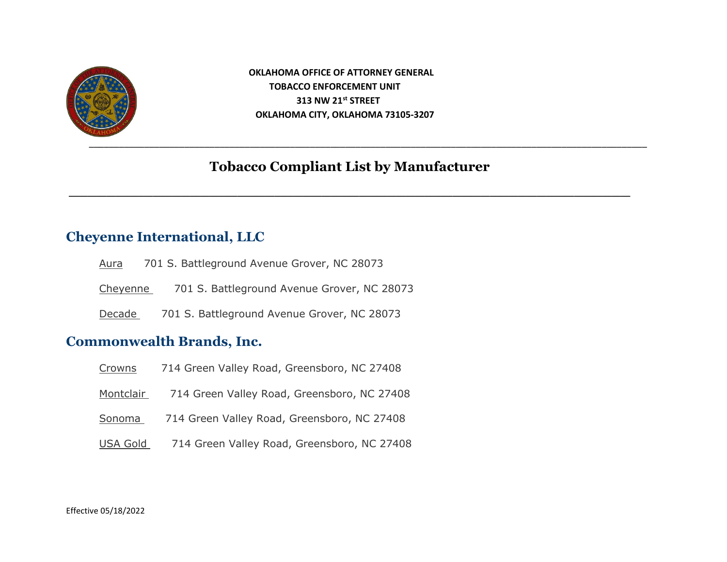

 **OKLAHOMA OFFICE OF ATTORNEY GENERAL TOBACCO ENFORCEMENT UNIT 313 NW 21st STREET OKLAHOMA CITY, OKLAHOMA 73105-3207**

# **Tobacco Compliant List by Manufacturer**

**\_\_\_\_\_\_\_\_\_\_\_\_\_\_\_\_\_\_\_\_\_\_\_\_\_\_\_\_\_\_\_\_\_\_\_\_\_\_\_\_\_\_\_\_\_\_\_\_\_\_\_\_\_\_\_\_\_\_\_\_**

# **Cheyenne International, LLC**

| Aura     | 701 S. Battleground Avenue Grover, NC 28073 |
|----------|---------------------------------------------|
| Cheyenne | 701 S. Battleground Avenue Grover, NC 28073 |
| Decade   | 701 S. Battleground Avenue Grover, NC 28073 |

# **Commonwealth Brands, Inc.**

| Crowns    | 714 Green Valley Road, Greensboro, NC 27408 |
|-----------|---------------------------------------------|
| Montclair | 714 Green Valley Road, Greensboro, NC 27408 |
| Sonoma    | 714 Green Valley Road, Greensboro, NC 27408 |
| USA Gold  | 714 Green Valley Road, Greensboro, NC 27408 |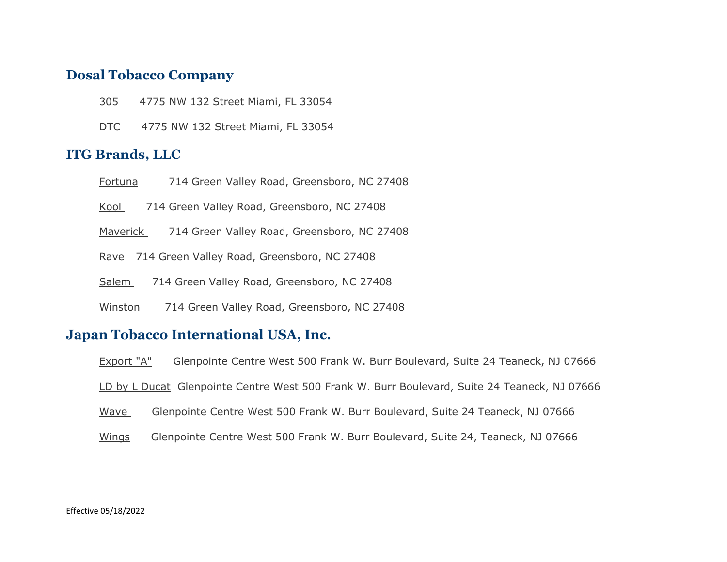### **Dosal Tobacco Company**

- 305 4775 NW 132 Street Miami, FL 33054
- DTC 4775 NW 132 Street Miami, FL 33054

### **ITG Brands, LLC**

- Fortuna 714 Green Valley Road, Greensboro, NC 27408
- Kool 714 Green Valley Road, Greensboro, NC 27408
- Maverick 714 Green Valley Road, Greensboro, NC 27408
- Rave 714 Green Valley Road, Greensboro, NC 27408
- Salem 714 Green Valley Road, Greensboro, NC 27408
- Winston 714 Green Valley Road, Greensboro, NC 27408

#### **Japan Tobacco International USA, Inc.**

- Export "A" Glenpointe Centre West 500 Frank W. Burr Boulevard, Suite 24 Teaneck, NJ 07666
- LD by L Ducat Glenpointe Centre West 500 Frank W. Burr Boulevard, Suite 24 Teaneck, NJ 07666
- Wave Glenpointe Centre West 500 Frank W. Burr Boulevard, Suite 24 Teaneck, NJ 07666
- Wings Glenpointe Centre West 500 Frank W. Burr Boulevard, Suite 24, Teaneck, NJ 07666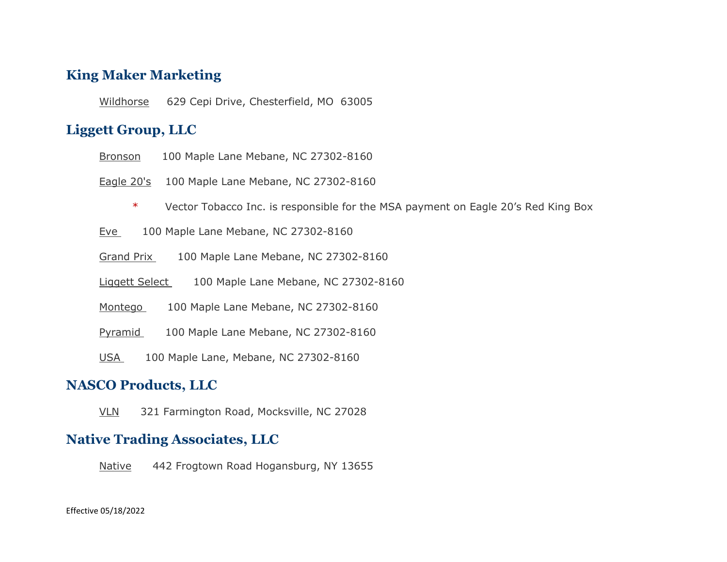# **King Maker Marketing**

Wildhorse 629 Cepi Drive, Chesterfield, MO 63005

# **Liggett Group, LLC**

Bronson 100 Maple Lane Mebane, NC 27302-8160

Eagle 20's 100 Maple Lane Mebane, NC 27302-8160

\* Vector Tobacco Inc. is responsible for the MSA payment on Eagle 20's Red King Box

Eve 100 Maple Lane Mebane, NC 27302-8160

Grand Prix 100 Maple Lane Mebane, NC 27302-8160

Liggett Select 100 Maple Lane Mebane, NC 27302-8160

Montego 100 Maple Lane Mebane, NC 27302-8160

Pyramid 100 Maple Lane Mebane, NC 27302-8160

USA 100 Maple Lane, Mebane, NC 27302-8160

# **NASCO Products, LLC**

VLN 321 Farmington Road, Mocksville, NC 27028

### **Native Trading Associates, LLC**

Native 442 Frogtown Road Hogansburg, NY 13655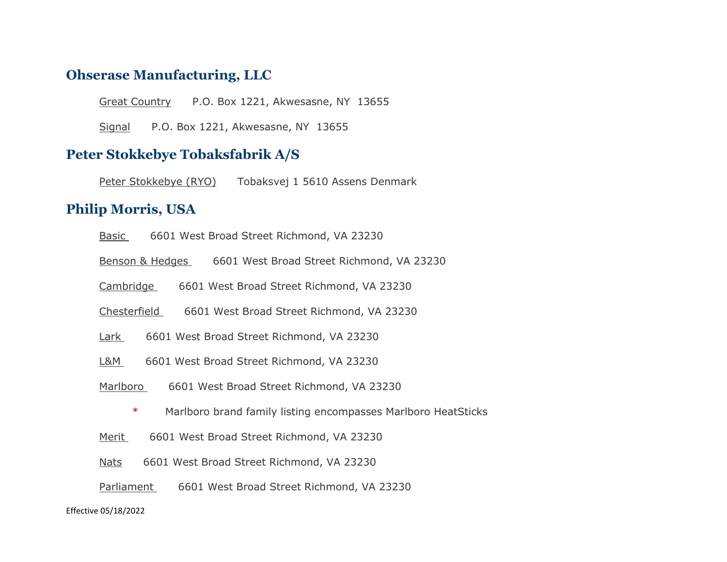#### **Ohserase Manufacturing, LLC**

Great Country P.O. Box 1221, Akwesasne, NY 13655

Signal P.O. Box 1221, Akwesasne, NY 13655

## **Peter Stokkebye Tobaksfabrik A/S**

Peter Stokkebye (RYO) Tobaksvej 1 5610 Assens Denmark

# **Philip Morris, USA**

| Basic |  |  | 6601 West Broad Street Richmond, VA 23230 |  |  |
|-------|--|--|-------------------------------------------|--|--|
|-------|--|--|-------------------------------------------|--|--|

Benson & Hedges 6601 West Broad Street Richmond, VA 23230

Cambridge 6601 West Broad Street Richmond, VA 23230

Chesterfield 6601 West Broad Street Richmond, VA 23230

- Lark 6601 West Broad Street Richmond, VA 23230
- L&M 6601 West Broad Street Richmond, VA 23230
- Marlboro 6601 West Broad Street Richmond, VA 23230
	- \* Marlboro brand family listing encompasses Marlboro HeatSticks
- Merit 6601 West Broad Street Richmond, VA 23230
- Nats 6601 West Broad Street Richmond, VA 23230
- Parliament 6601 West Broad Street Richmond, VA 23230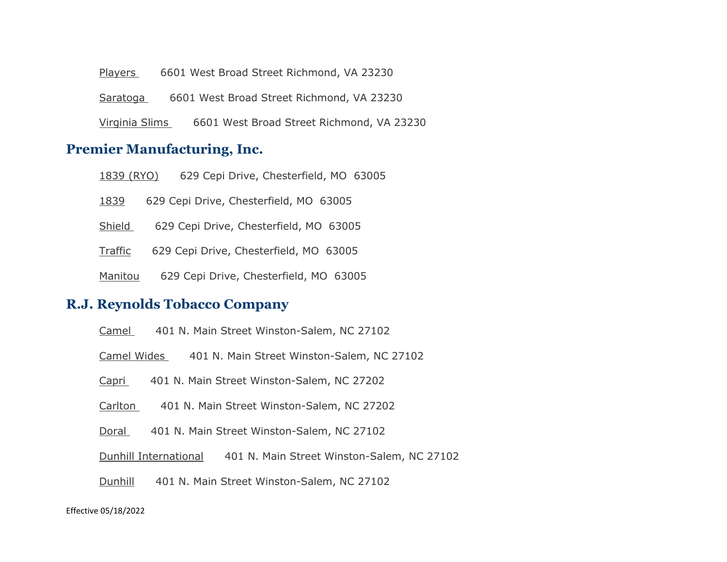Players 6601 West Broad Street Richmond, VA 23230

Saratoga 6601 West Broad Street Richmond, VA 23230

Virginia Slims 6601 West Broad Street Richmond, VA 23230

### **Premier Manufacturing, Inc.**

1839 (RYO) 629 Cepi Drive, Chesterfield, MO 63005

1839 629 Cepi Drive, Chesterfield, MO 63005

Shield 629 Cepi Drive, Chesterfield, MO 63005

Traffic 629 Cepi Drive, Chesterfield, MO 63005

Manitou 629 Cepi Drive, Chesterfield, MO 63005

### **R.J. Reynolds Tobacco Company**

| Camel |  |  |  | 401 N. Main Street Winston-Salem, NC 27102 |  |  |
|-------|--|--|--|--------------------------------------------|--|--|
|-------|--|--|--|--------------------------------------------|--|--|

Camel Wides 401 N. Main Street Winston-Salem, NC 27102

Capri 401 N. Main Street Winston-Salem, NC 27202

Carlton 401 N. Main Street Winston-Salem, NC 27202

Doral 401 N. Main Street Winston-Salem, NC 27102

Dunhill International 401 N. Main Street Winston-Salem, NC 27102

Dunhill 401 N. Main Street Winston-Salem, NC 27102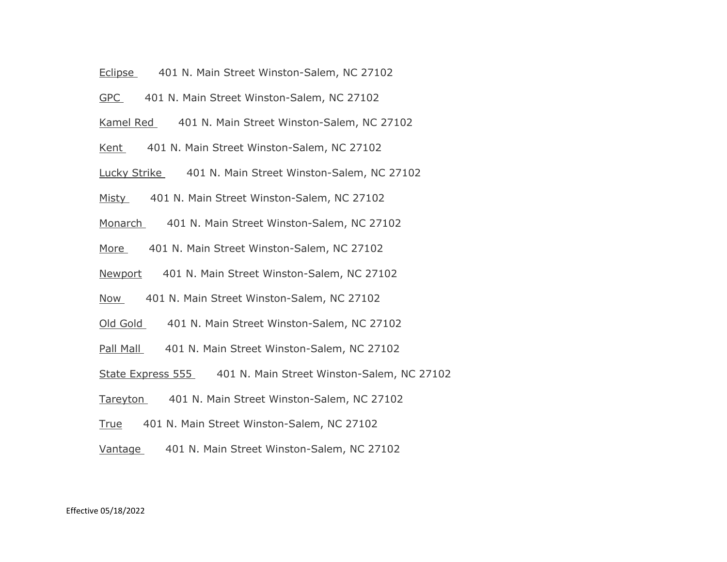- Eclipse 401 N. Main Street Winston-Salem, NC 27102
- GPC 401 N. Main Street Winston-Salem, NC 27102
- Kamel Red 401 N. Main Street Winston-Salem, NC 27102
- Kent 401 N. Main Street Winston-Salem, NC 27102
- Lucky Strike 401 N. Main Street Winston-Salem, NC 27102
- Misty 401 N. Main Street Winston-Salem, NC 27102
- Monarch 401 N. Main Street Winston-Salem, NC 27102
- More 401 N. Main Street Winston-Salem, NC 27102
- Newport 401 N. Main Street Winston-Salem, NC 27102
- Now 401 N. Main Street Winston-Salem, NC 27102
- Old Gold 401 N. Main Street Winston-Salem, NC 27102
- Pall Mall 401 N. Main Street Winston-Salem, NC 27102
- State Express 555 401 N. Main Street Winston-Salem, NC 27102
- Tareyton 401 N. Main Street Winston-Salem, NC 27102
- True 401 N. Main Street Winston-Salem, NC 27102
- Vantage 401 N. Main Street Winston-Salem, NC 27102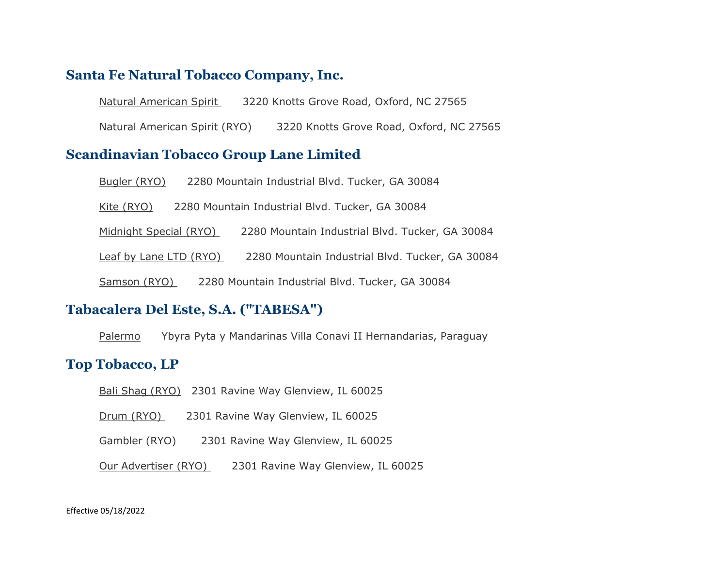## **Santa Fe Natural Tobacco Company, Inc.**

Natural American Spirit 3220 Knotts Grove Road, Oxford, NC 27565

Natural American Spirit (RYO) 3220 Knotts Grove Road, Oxford, NC 27565

### **Scandinavian Tobacco Group Lane Limited**

| Bugler (RYO)           | 2280 Mountain Industrial Blvd. Tucker, GA 30084 |  |
|------------------------|-------------------------------------------------|--|
| Kite (RYO)             | 2280 Mountain Industrial Blvd. Tucker, GA 30084 |  |
| Midnight Special (RYO) | 2280 Mountain Industrial Blvd. Tucker, GA 30084 |  |
| Leaf by Lane LTD (RYO) | 2280 Mountain Industrial Blvd. Tucker, GA 30084 |  |
| Samson (RYO)           | 2280 Mountain Industrial Blvd. Tucker, GA 30084 |  |

### **Tabacalera Del Este, S.A. ("TABESA")**

Palermo Ybyra Pyta y Mandarinas Villa Conavi II Hernandarias, Paraguay

## **Top Tobacco, LP**

- Bali Shag (RYO) 2301 Ravine Way Glenview, IL 60025
- Drum (RYO) 2301 Ravine Way Glenview, IL 60025
- Gambler (RYO) 2301 Ravine Way Glenview, IL 60025

Our Advertiser (RYO) 2301 Ravine Way Glenview, IL 60025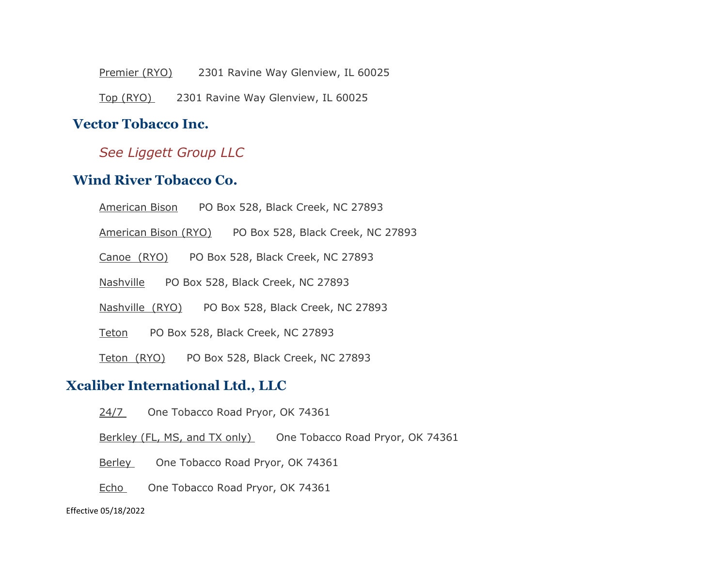Premier (RYO) 2301 Ravine Way Glenview, IL 60025 Top (RYO) 2301 Ravine Way Glenview, IL 60025

# **Vector Tobacco Inc.**

# *See Liggett Group LLC*

# **Wind River Tobacco Co.**

American Bison PO Box 528, Black Creek, NC 27893

American Bison (RYO) PO Box 528, Black Creek, NC 27893

Canoe (RYO) PO Box 528, Black Creek, NC 27893

Nashville PO Box 528, Black Creek, NC 27893

Nashville (RYO) PO Box 528, Black Creek, NC 27893

Teton PO Box 528, Black Creek, NC 27893

Teton (RYO) PO Box 528, Black Creek, NC 27893

# **Xcaliber International Ltd., LLC**

24/7 One Tobacco Road Pryor, OK 74361

Berkley (FL, MS, and TX only) One Tobacco Road Pryor, OK 74361

Berley One Tobacco Road Pryor, OK 74361

Echo One Tobacco Road Pryor, OK 74361